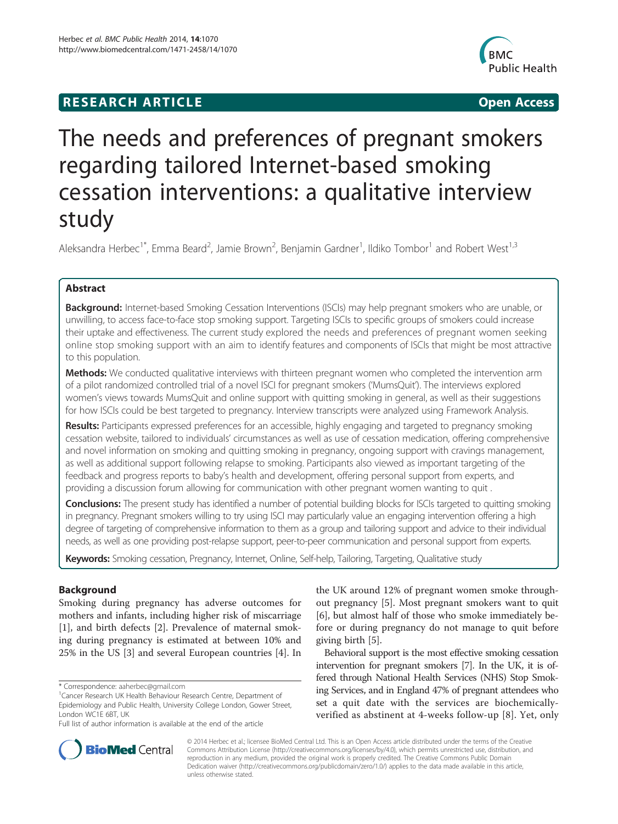# **RESEARCH ARTICLE Example 2014 12:30 The SEAR CHIPS 2014 12:30 The Open Access**



# The needs and preferences of pregnant smokers regarding tailored Internet-based smoking cessation interventions: a qualitative interview study

Aleksandra Herbec<sup>1\*</sup>, Emma Beard<sup>2</sup>, Jamie Brown<sup>2</sup>, Benjamin Gardner<sup>1</sup>, Ildiko Tombor<sup>1</sup> and Robert West<sup>1,3</sup>

# Abstract

**Background:** Internet-based Smoking Cessation Interventions (ISCIs) may help pregnant smokers who are unable, or unwilling, to access face-to-face stop smoking support. Targeting ISCIs to specific groups of smokers could increase their uptake and effectiveness. The current study explored the needs and preferences of pregnant women seeking online stop smoking support with an aim to identify features and components of ISCIs that might be most attractive to this population.

**Methods:** We conducted qualitative interviews with thirteen pregnant women who completed the intervention arm of a pilot randomized controlled trial of a novel ISCI for pregnant smokers ('MumsQuit'). The interviews explored women's views towards MumsQuit and online support with quitting smoking in general, as well as their suggestions for how ISCIs could be best targeted to pregnancy. Interview transcripts were analyzed using Framework Analysis.

Results: Participants expressed preferences for an accessible, highly engaging and targeted to pregnancy smoking cessation website, tailored to individuals' circumstances as well as use of cessation medication, offering comprehensive and novel information on smoking and quitting smoking in pregnancy, ongoing support with cravings management, as well as additional support following relapse to smoking. Participants also viewed as important targeting of the feedback and progress reports to baby's health and development, offering personal support from experts, and providing a discussion forum allowing for communication with other pregnant women wanting to quit .

**Conclusions:** The present study has identified a number of potential building blocks for ISCIs targeted to quitting smoking in pregnancy. Pregnant smokers willing to try using ISCI may particularly value an engaging intervention offering a high degree of targeting of comprehensive information to them as a group and tailoring support and advice to their individual needs, as well as one providing post-relapse support, peer-to-peer communication and personal support from experts.

Keywords: Smoking cessation, Pregnancy, Internet, Online, Self-help, Tailoring, Targeting, Qualitative study

# Background

Smoking during pregnancy has adverse outcomes for mothers and infants, including higher risk of miscarriage [[1\]](#page-11-0), and birth defects [[2\]](#page-11-0). Prevalence of maternal smoking during pregnancy is estimated at between 10% and 25% in the US [[3\]](#page-11-0) and several European countries [\[4](#page-11-0)]. In

\* Correspondence: [aaherbec@gmail.com](mailto:aaherbec@gmail.com) <sup>1</sup>

the UK around 12% of pregnant women smoke throughout pregnancy [[5\]](#page-11-0). Most pregnant smokers want to quit [[6\]](#page-11-0), but almost half of those who smoke immediately before or during pregnancy do not manage to quit before giving birth [\[5\]](#page-11-0).

Behavioral support is the most effective smoking cessation intervention for pregnant smokers [\[7\]](#page-11-0). In the UK, it is offered through National Health Services (NHS) Stop Smoking Services, and in England 47% of pregnant attendees who set a quit date with the services are biochemicallyverified as abstinent at 4-weeks follow-up [\[8](#page-11-0)]. Yet, only



© 2014 Herbec et al.; licensee BioMed Central Ltd. This is an Open Access article distributed under the terms of the Creative Commons Attribution License [\(http://creativecommons.org/licenses/by/4.0\)](http://creativecommons.org/licenses/by/4.0), which permits unrestricted use, distribution, and reproduction in any medium, provided the original work is properly credited. The Creative Commons Public Domain Dedication waiver [\(http://creativecommons.org/publicdomain/zero/1.0/](http://creativecommons.org/publicdomain/zero/1.0/)) applies to the data made available in this article, unless otherwise stated.

Cancer Research UK Health Behaviour Research Centre, Department of Epidemiology and Public Health, University College London, Gower Street, London WC1E 6BT, UK

Full list of author information is available at the end of the article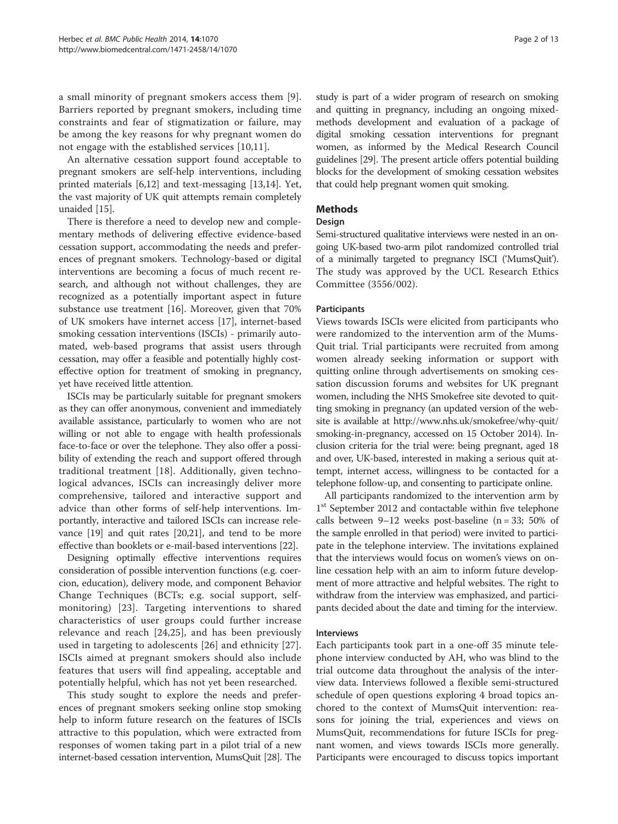a small minority of pregnant smokers access them [[9](#page-11-0)]. Barriers reported by pregnant smokers, including time constraints and fear of stigmatization or failure, may be among the key reasons for why pregnant women do not engage with the established services [[10,11](#page-11-0)].

An alternative cessation support found acceptable to pregnant smokers are self-help interventions, including printed materials [[6,12\]](#page-11-0) and text-messaging [[13,14\]](#page-11-0). Yet, the vast majority of UK quit attempts remain completely unaided [\[15](#page-11-0)].

There is therefore a need to develop new and complementary methods of delivering effective evidence-based cessation support, accommodating the needs and preferences of pregnant smokers. Technology-based or digital interventions are becoming a focus of much recent research, and although not without challenges, they are recognized as a potentially important aspect in future substance use treatment [[16](#page-11-0)]. Moreover, given that 70% of UK smokers have internet access [\[17\]](#page-11-0), internet-based smoking cessation interventions (ISCIs) - primarily automated, web-based programs that assist users through cessation, may offer a feasible and potentially highly costeffective option for treatment of smoking in pregnancy, yet have received little attention.

ISCIs may be particularly suitable for pregnant smokers as they can offer anonymous, convenient and immediately available assistance, particularly to women who are not willing or not able to engage with health professionals face-to-face or over the telephone. They also offer a possibility of extending the reach and support offered through traditional treatment [\[18\]](#page-11-0). Additionally, given technological advances, ISCIs can increasingly deliver more comprehensive, tailored and interactive support and advice than other forms of self-help interventions. Importantly, interactive and tailored ISCIs can increase relevance [\[19\]](#page-11-0) and quit rates [\[20,21\]](#page-11-0), and tend to be more effective than booklets or e-mail-based interventions [\[22](#page-11-0)].

Designing optimally effective interventions requires consideration of possible intervention functions (e.g. coercion, education), delivery mode, and component Behavior Change Techniques (BCTs; e.g. social support, selfmonitoring) [\[23](#page-11-0)]. Targeting interventions to shared characteristics of user groups could further increase relevance and reach [[24,25](#page-11-0)], and has been previously used in targeting to adolescents [[26](#page-11-0)] and ethnicity [[27](#page-11-0)]. ISCIs aimed at pregnant smokers should also include features that users will find appealing, acceptable and potentially helpful, which has not yet been researched.

This study sought to explore the needs and preferences of pregnant smokers seeking online stop smoking help to inform future research on the features of ISCIs attractive to this population, which were extracted from responses of women taking part in a pilot trial of a new internet-based cessation intervention, MumsQuit [\[28\]](#page-11-0). The study is part of a wider program of research on smoking and quitting in pregnancy, including an ongoing mixedmethods development and evaluation of a package of digital smoking cessation interventions for pregnant women, as informed by the Medical Research Council guidelines [\[29](#page-11-0)]. The present article offers potential building blocks for the development of smoking cessation websites that could help pregnant women quit smoking.

# Methods

# Design

Semi-structured qualitative interviews were nested in an ongoing UK-based two-arm pilot randomized controlled trial of a minimally targeted to pregnancy ISCI ('MumsQuit'). The study was approved by the UCL Research Ethics Committee (3556/002).

# Participants

Views towards ISCIs were elicited from participants who were randomized to the intervention arm of the Mums-Quit trial. Trial participants were recruited from among women already seeking information or support with quitting online through advertisements on smoking cessation discussion forums and websites for UK pregnant women, including the NHS Smokefree site devoted to quitting smoking in pregnancy (an updated version of the website is available at [http://www.nhs.uk/smokefree/why-quit/](http://www.nhs.uk/smokefree/why-quit/smoking-in-pregnancy) [smoking-in-pregnancy,](http://www.nhs.uk/smokefree/why-quit/smoking-in-pregnancy) accessed on 15 October 2014). Inclusion criteria for the trial were: being pregnant, aged 18 and over, UK-based, interested in making a serious quit attempt, internet access, willingness to be contacted for a telephone follow-up, and consenting to participate online.

All participants randomized to the intervention arm by 1<sup>st</sup> September 2012 and contactable within five telephone calls between  $9-12$  weeks post-baseline (n = 33; 50% of the sample enrolled in that period) were invited to participate in the telephone interview. The invitations explained that the interviews would focus on women's views on online cessation help with an aim to inform future development of more attractive and helpful websites. The right to withdraw from the interview was emphasized, and participants decided about the date and timing for the interview.

# Interviews

Each participants took part in a one-off 35 minute telephone interview conducted by AH, who was blind to the trial outcome data throughout the analysis of the interview data. Interviews followed a flexible semi-structured schedule of open questions exploring 4 broad topics anchored to the context of MumsQuit intervention: reasons for joining the trial, experiences and views on MumsQuit, recommendations for future ISCIs for pregnant women, and views towards ISCIs more generally. Participants were encouraged to discuss topics important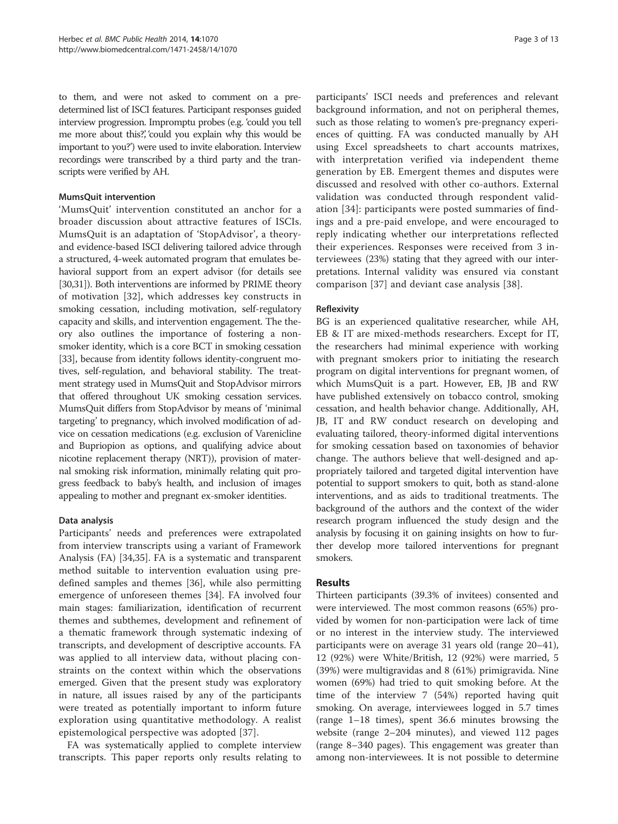to them, and were not asked to comment on a predetermined list of ISCI features. Participant responses guided interview progression. Impromptu probes (e.g. 'could you tell me more about this?,' 'could you explain why this would be important to you?') were used to invite elaboration. Interview recordings were transcribed by a third party and the transcripts were verified by AH.

## MumsQuit intervention

'MumsQuit' intervention constituted an anchor for a broader discussion about attractive features of ISCIs. MumsQuit is an adaptation of 'StopAdvisor', a theoryand evidence-based ISCI delivering tailored advice through a structured, 4-week automated program that emulates behavioral support from an expert advisor (for details see [[30](#page-11-0)[,31\]](#page-12-0)). Both interventions are informed by PRIME theory of motivation [\[32\]](#page-12-0), which addresses key constructs in smoking cessation, including motivation, self-regulatory capacity and skills, and intervention engagement. The theory also outlines the importance of fostering a nonsmoker identity, which is a core BCT in smoking cessation [[33](#page-12-0)], because from identity follows identity-congruent motives, self-regulation, and behavioral stability. The treatment strategy used in MumsQuit and StopAdvisor mirrors that offered throughout UK smoking cessation services. MumsQuit differs from StopAdvisor by means of 'minimal targeting' to pregnancy, which involved modification of advice on cessation medications (e.g. exclusion of Varenicline and Bupriopion as options, and qualifying advice about nicotine replacement therapy (NRT)), provision of maternal smoking risk information, minimally relating quit progress feedback to baby's health, and inclusion of images appealing to mother and pregnant ex-smoker identities.

# Data analysis

Participants' needs and preferences were extrapolated from interview transcripts using a variant of Framework Analysis (FA) [\[34,35\]](#page-12-0). FA is a systematic and transparent method suitable to intervention evaluation using predefined samples and themes [[36\]](#page-12-0), while also permitting emergence of unforeseen themes [\[34\]](#page-12-0). FA involved four main stages: familiarization, identification of recurrent themes and subthemes, development and refinement of a thematic framework through systematic indexing of transcripts, and development of descriptive accounts. FA was applied to all interview data, without placing constraints on the context within which the observations emerged. Given that the present study was exploratory in nature, all issues raised by any of the participants were treated as potentially important to inform future exploration using quantitative methodology. A realist epistemological perspective was adopted [[37](#page-12-0)].

FA was systematically applied to complete interview transcripts. This paper reports only results relating to

participants' ISCI needs and preferences and relevant background information, and not on peripheral themes, such as those relating to women's pre-pregnancy experiences of quitting. FA was conducted manually by AH using Excel spreadsheets to chart accounts matrixes, with interpretation verified via independent theme generation by EB. Emergent themes and disputes were discussed and resolved with other co-authors. External validation was conducted through respondent validation [[34\]](#page-12-0): participants were posted summaries of findings and a pre-paid envelope, and were encouraged to reply indicating whether our interpretations reflected their experiences. Responses were received from 3 interviewees (23%) stating that they agreed with our interpretations. Internal validity was ensured via constant comparison [\[37](#page-12-0)] and deviant case analysis [\[38](#page-12-0)].

## Reflexivity

BG is an experienced qualitative researcher, while AH, EB & IT are mixed-methods researchers. Except for IT, the researchers had minimal experience with working with pregnant smokers prior to initiating the research program on digital interventions for pregnant women, of which MumsQuit is a part. However, EB, JB and RW have published extensively on tobacco control, smoking cessation, and health behavior change. Additionally, AH, JB, IT and RW conduct research on developing and evaluating tailored, theory-informed digital interventions for smoking cessation based on taxonomies of behavior change. The authors believe that well-designed and appropriately tailored and targeted digital intervention have potential to support smokers to quit, both as stand-alone interventions, and as aids to traditional treatments. The background of the authors and the context of the wider research program influenced the study design and the analysis by focusing it on gaining insights on how to further develop more tailored interventions for pregnant smokers.

# Results

Thirteen participants (39.3% of invitees) consented and were interviewed. The most common reasons (65%) provided by women for non-participation were lack of time or no interest in the interview study. The interviewed participants were on average 31 years old (range 20–41), 12 (92%) were White/British, 12 (92%) were married, 5 (39%) were multigravidas and 8 (61%) primigravida. Nine women (69%) had tried to quit smoking before. At the time of the interview 7 (54%) reported having quit smoking. On average, interviewees logged in 5.7 times (range 1–18 times), spent 36.6 minutes browsing the website (range 2–204 minutes), and viewed 112 pages (range 8–340 pages). This engagement was greater than among non-interviewees. It is not possible to determine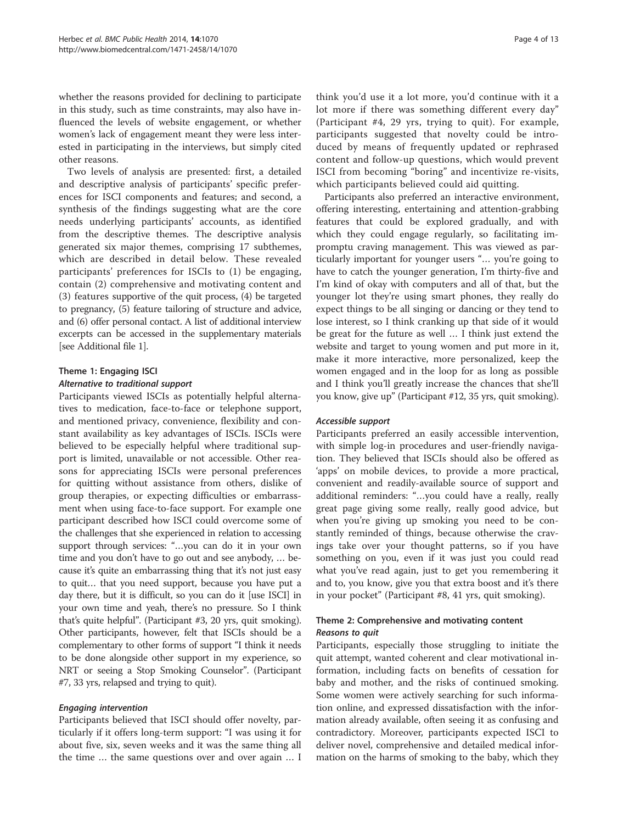whether the reasons provided for declining to participate in this study, such as time constraints, may also have influenced the levels of website engagement, or whether women's lack of engagement meant they were less interested in participating in the interviews, but simply cited other reasons.

Two levels of analysis are presented: first, a detailed and descriptive analysis of participants' specific preferences for ISCI components and features; and second, a synthesis of the findings suggesting what are the core needs underlying participants' accounts, as identified from the descriptive themes. The descriptive analysis generated six major themes, comprising 17 subthemes, which are described in detail below. These revealed participants' preferences for ISCIs to (1) be engaging, contain (2) comprehensive and motivating content and (3) features supportive of the quit process, (4) be targeted to pregnancy, (5) feature tailoring of structure and advice, and (6) offer personal contact. A list of additional interview excerpts can be accessed in the supplementary materials [see Additional file [1\]](#page-10-0).

# Theme 1: Engaging ISCI

## Alternative to traditional support

Participants viewed ISCIs as potentially helpful alternatives to medication, face-to-face or telephone support, and mentioned privacy, convenience, flexibility and constant availability as key advantages of ISCIs. ISCIs were believed to be especially helpful where traditional support is limited, unavailable or not accessible. Other reasons for appreciating ISCIs were personal preferences for quitting without assistance from others, dislike of group therapies, or expecting difficulties or embarrassment when using face-to-face support. For example one participant described how ISCI could overcome some of the challenges that she experienced in relation to accessing support through services: "…you can do it in your own time and you don't have to go out and see anybody, … because it's quite an embarrassing thing that it's not just easy to quit… that you need support, because you have put a day there, but it is difficult, so you can do it [use ISCI] in your own time and yeah, there's no pressure. So I think that's quite helpful". (Participant #3, 20 yrs, quit smoking). Other participants, however, felt that ISCIs should be a complementary to other forms of support "I think it needs to be done alongside other support in my experience, so NRT or seeing a Stop Smoking Counselor". (Participant #7, 33 yrs, relapsed and trying to quit).

# Engaging intervention

Participants believed that ISCI should offer novelty, particularly if it offers long-term support: "I was using it for about five, six, seven weeks and it was the same thing all the time … the same questions over and over again … I

think you'd use it a lot more, you'd continue with it a lot more if there was something different every day" (Participant #4, 29 yrs, trying to quit). For example, participants suggested that novelty could be introduced by means of frequently updated or rephrased content and follow-up questions, which would prevent ISCI from becoming "boring" and incentivize re-visits, which participants believed could aid quitting.

Participants also preferred an interactive environment, offering interesting, entertaining and attention-grabbing features that could be explored gradually, and with which they could engage regularly, so facilitating impromptu craving management. This was viewed as particularly important for younger users "… you're going to have to catch the younger generation, I'm thirty-five and I'm kind of okay with computers and all of that, but the younger lot they're using smart phones, they really do expect things to be all singing or dancing or they tend to lose interest, so I think cranking up that side of it would be great for the future as well … I think just extend the website and target to young women and put more in it, make it more interactive, more personalized, keep the women engaged and in the loop for as long as possible and I think you'll greatly increase the chances that she'll you know, give up" (Participant #12, 35 yrs, quit smoking).

# Accessible support

Participants preferred an easily accessible intervention, with simple log-in procedures and user-friendly navigation. They believed that ISCIs should also be offered as 'apps' on mobile devices, to provide a more practical, convenient and readily-available source of support and additional reminders: "…you could have a really, really great page giving some really, really good advice, but when you're giving up smoking you need to be constantly reminded of things, because otherwise the cravings take over your thought patterns, so if you have something on you, even if it was just you could read what you've read again, just to get you remembering it and to, you know, give you that extra boost and it's there in your pocket" (Participant #8, 41 yrs, quit smoking).

# Theme 2: Comprehensive and motivating content Reasons to quit

Participants, especially those struggling to initiate the quit attempt, wanted coherent and clear motivational information, including facts on benefits of cessation for baby and mother, and the risks of continued smoking. Some women were actively searching for such information online, and expressed dissatisfaction with the information already available, often seeing it as confusing and contradictory. Moreover, participants expected ISCI to deliver novel, comprehensive and detailed medical information on the harms of smoking to the baby, which they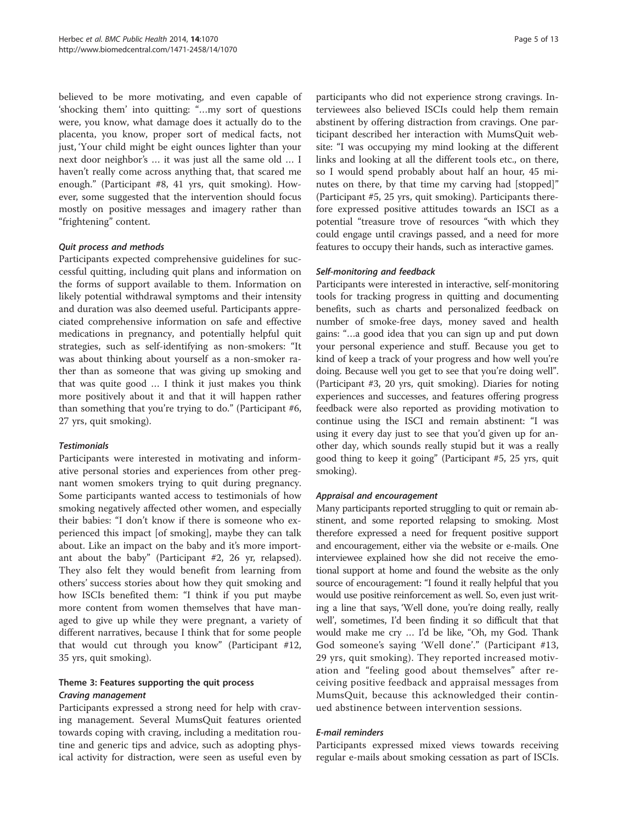believed to be more motivating, and even capable of 'shocking them' into quitting: "…my sort of questions were, you know, what damage does it actually do to the placenta, you know, proper sort of medical facts, not just, 'Your child might be eight ounces lighter than your next door neighbor's … it was just all the same old … I haven't really come across anything that, that scared me enough." (Participant #8, 41 yrs, quit smoking). However, some suggested that the intervention should focus mostly on positive messages and imagery rather than "frightening" content.

## Quit process and methods

Participants expected comprehensive guidelines for successful quitting, including quit plans and information on the forms of support available to them. Information on likely potential withdrawal symptoms and their intensity and duration was also deemed useful. Participants appreciated comprehensive information on safe and effective medications in pregnancy, and potentially helpful quit strategies, such as self-identifying as non-smokers: "It was about thinking about yourself as a non-smoker rather than as someone that was giving up smoking and that was quite good … I think it just makes you think more positively about it and that it will happen rather than something that you're trying to do." (Participant #6, 27 yrs, quit smoking).

#### **Testimonials**

Participants were interested in motivating and informative personal stories and experiences from other pregnant women smokers trying to quit during pregnancy. Some participants wanted access to testimonials of how smoking negatively affected other women, and especially their babies: "I don't know if there is someone who experienced this impact [of smoking], maybe they can talk about. Like an impact on the baby and it's more important about the baby" (Participant #2, 26 yr, relapsed). They also felt they would benefit from learning from others' success stories about how they quit smoking and how ISCIs benefited them: "I think if you put maybe more content from women themselves that have managed to give up while they were pregnant, a variety of different narratives, because I think that for some people that would cut through you know" (Participant #12, 35 yrs, quit smoking).

# Theme 3: Features supporting the quit process Craving management

Participants expressed a strong need for help with craving management. Several MumsQuit features oriented towards coping with craving, including a meditation routine and generic tips and advice, such as adopting physical activity for distraction, were seen as useful even by

participants who did not experience strong cravings. Interviewees also believed ISCIs could help them remain abstinent by offering distraction from cravings. One participant described her interaction with MumsQuit website: "I was occupying my mind looking at the different links and looking at all the different tools etc., on there, so I would spend probably about half an hour, 45 minutes on there, by that time my carving had [stopped]" (Participant #5, 25 yrs, quit smoking). Participants therefore expressed positive attitudes towards an ISCI as a potential "treasure trove of resources "with which they could engage until cravings passed, and a need for more features to occupy their hands, such as interactive games.

#### Self-monitoring and feedback

Participants were interested in interactive, self-monitoring tools for tracking progress in quitting and documenting benefits, such as charts and personalized feedback on number of smoke-free days, money saved and health gains: "…a good idea that you can sign up and put down your personal experience and stuff. Because you get to kind of keep a track of your progress and how well you're doing. Because well you get to see that you're doing well". (Participant #3, 20 yrs, quit smoking). Diaries for noting experiences and successes, and features offering progress feedback were also reported as providing motivation to continue using the ISCI and remain abstinent: "I was using it every day just to see that you'd given up for another day, which sounds really stupid but it was a really good thing to keep it going" (Participant #5, 25 yrs, quit smoking).

#### Appraisal and encouragement

Many participants reported struggling to quit or remain abstinent, and some reported relapsing to smoking. Most therefore expressed a need for frequent positive support and encouragement, either via the website or e-mails. One interviewee explained how she did not receive the emotional support at home and found the website as the only source of encouragement: "I found it really helpful that you would use positive reinforcement as well. So, even just writing a line that says, 'Well done, you're doing really, really well', sometimes, I'd been finding it so difficult that that would make me cry … I'd be like, "Oh, my God. Thank God someone's saying 'Well done'." (Participant #13, 29 yrs, quit smoking). They reported increased motivation and "feeling good about themselves" after receiving positive feedback and appraisal messages from MumsQuit, because this acknowledged their continued abstinence between intervention sessions.

#### E-mail reminders

Participants expressed mixed views towards receiving regular e-mails about smoking cessation as part of ISCIs.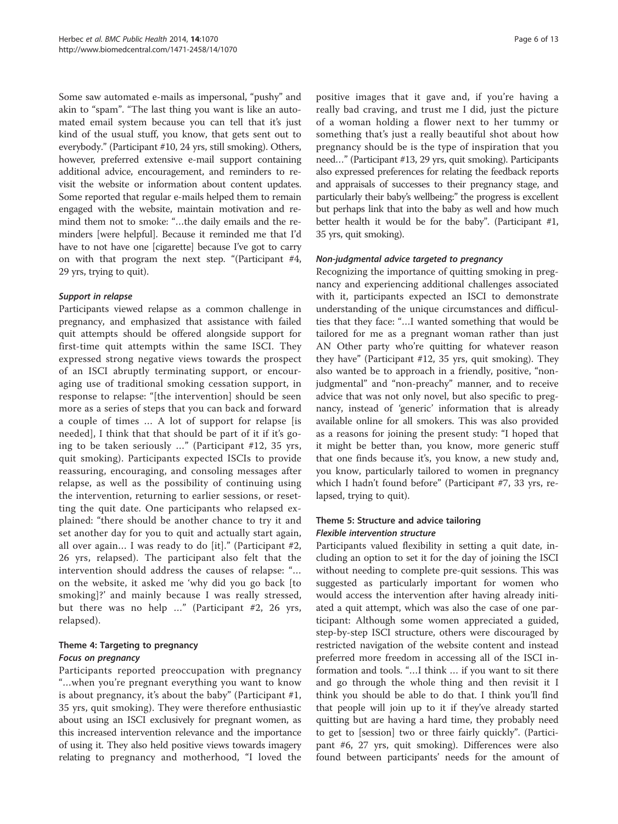Some saw automated e-mails as impersonal, "pushy" and akin to "spam". "The last thing you want is like an automated email system because you can tell that it's just kind of the usual stuff, you know, that gets sent out to everybody." (Participant #10, 24 yrs, still smoking). Others, however, preferred extensive e-mail support containing additional advice, encouragement, and reminders to revisit the website or information about content updates. Some reported that regular e-mails helped them to remain engaged with the website, maintain motivation and remind them not to smoke: "…the daily emails and the reminders [were helpful]. Because it reminded me that I'd have to not have one [cigarette] because I've got to carry on with that program the next step. "(Participant #4, 29 yrs, trying to quit).

## Support in relapse

Participants viewed relapse as a common challenge in pregnancy, and emphasized that assistance with failed quit attempts should be offered alongside support for first-time quit attempts within the same ISCI. They expressed strong negative views towards the prospect of an ISCI abruptly terminating support, or encouraging use of traditional smoking cessation support, in response to relapse: "[the intervention] should be seen more as a series of steps that you can back and forward a couple of times … A lot of support for relapse [is needed], I think that that should be part of it if it's going to be taken seriously …" (Participant #12, 35 yrs, quit smoking). Participants expected ISCIs to provide reassuring, encouraging, and consoling messages after relapse, as well as the possibility of continuing using the intervention, returning to earlier sessions, or resetting the quit date. One participants who relapsed explained: "there should be another chance to try it and set another day for you to quit and actually start again, all over again… I was ready to do [it]." (Participant #2, 26 yrs, relapsed). The participant also felt that the intervention should address the causes of relapse: "… on the website, it asked me 'why did you go back [to smoking]?' and mainly because I was really stressed, but there was no help …" (Participant #2, 26 yrs, relapsed).

# Theme 4: Targeting to pregnancy Focus on pregnancy

Participants reported preoccupation with pregnancy "…when you're pregnant everything you want to know is about pregnancy, it's about the baby" (Participant #1, 35 yrs, quit smoking). They were therefore enthusiastic about using an ISCI exclusively for pregnant women, as this increased intervention relevance and the importance of using it. They also held positive views towards imagery relating to pregnancy and motherhood, "I loved the

positive images that it gave and, if you're having a really bad craving, and trust me I did, just the picture of a woman holding a flower next to her tummy or something that's just a really beautiful shot about how pregnancy should be is the type of inspiration that you need…" (Participant #13, 29 yrs, quit smoking). Participants also expressed preferences for relating the feedback reports and appraisals of successes to their pregnancy stage, and particularly their baby's wellbeing:" the progress is excellent but perhaps link that into the baby as well and how much better health it would be for the baby". (Participant #1, 35 yrs, quit smoking).

# Non-judgmental advice targeted to pregnancy

Recognizing the importance of quitting smoking in pregnancy and experiencing additional challenges associated with it, participants expected an ISCI to demonstrate understanding of the unique circumstances and difficulties that they face: "…I wanted something that would be tailored for me as a pregnant woman rather than just AN Other party who're quitting for whatever reason they have" (Participant #12, 35 yrs, quit smoking). They also wanted be to approach in a friendly, positive, "nonjudgmental" and "non-preachy" manner, and to receive advice that was not only novel, but also specific to pregnancy, instead of 'generic' information that is already available online for all smokers. This was also provided as a reasons for joining the present study: "I hoped that it might be better than, you know, more generic stuff that one finds because it's, you know, a new study and, you know, particularly tailored to women in pregnancy which I hadn't found before" (Participant #7, 33 yrs, relapsed, trying to quit).

# Theme 5: Structure and advice tailoring Flexible intervention structure

Participants valued flexibility in setting a quit date, including an option to set it for the day of joining the ISCI without needing to complete pre-quit sessions. This was suggested as particularly important for women who would access the intervention after having already initiated a quit attempt, which was also the case of one participant: Although some women appreciated a guided, step-by-step ISCI structure, others were discouraged by restricted navigation of the website content and instead preferred more freedom in accessing all of the ISCI information and tools. "…I think … if you want to sit there and go through the whole thing and then revisit it I think you should be able to do that. I think you'll find that people will join up to it if they've already started quitting but are having a hard time, they probably need to get to [session] two or three fairly quickly". (Participant #6, 27 yrs, quit smoking). Differences were also found between participants' needs for the amount of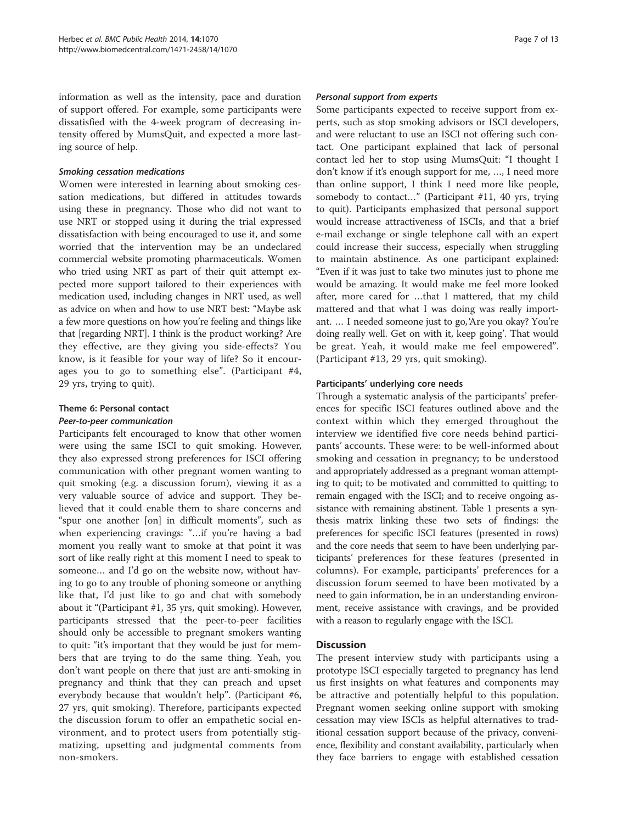information as well as the intensity, pace and duration of support offered. For example, some participants were dissatisfied with the 4-week program of decreasing intensity offered by MumsQuit, and expected a more lasting source of help.

# Smoking cessation medications

Women were interested in learning about smoking cessation medications, but differed in attitudes towards using these in pregnancy. Those who did not want to use NRT or stopped using it during the trial expressed dissatisfaction with being encouraged to use it, and some worried that the intervention may be an undeclared commercial website promoting pharmaceuticals. Women who tried using NRT as part of their quit attempt expected more support tailored to their experiences with medication used, including changes in NRT used, as well as advice on when and how to use NRT best: "Maybe ask a few more questions on how you're feeling and things like that [regarding NRT]. I think is the product working? Are they effective, are they giving you side-effects? You know, is it feasible for your way of life? So it encourages you to go to something else". (Participant #4, 29 yrs, trying to quit).

# Theme 6: Personal contact

#### Peer-to-peer communication

Participants felt encouraged to know that other women were using the same ISCI to quit smoking. However, they also expressed strong preferences for ISCI offering communication with other pregnant women wanting to quit smoking (e.g. a discussion forum), viewing it as a very valuable source of advice and support. They believed that it could enable them to share concerns and "spur one another [on] in difficult moments", such as when experiencing cravings: "…if you're having a bad moment you really want to smoke at that point it was sort of like really right at this moment I need to speak to someone… and I'd go on the website now, without having to go to any trouble of phoning someone or anything like that, I'd just like to go and chat with somebody about it "(Participant #1, 35 yrs, quit smoking). However, participants stressed that the peer-to-peer facilities should only be accessible to pregnant smokers wanting to quit: "it's important that they would be just for members that are trying to do the same thing. Yeah, you don't want people on there that just are anti-smoking in pregnancy and think that they can preach and upset everybody because that wouldn't help". (Participant #6, 27 yrs, quit smoking). Therefore, participants expected the discussion forum to offer an empathetic social environment, and to protect users from potentially stigmatizing, upsetting and judgmental comments from non-smokers.

#### Personal support from experts

Some participants expected to receive support from experts, such as stop smoking advisors or ISCI developers, and were reluctant to use an ISCI not offering such contact. One participant explained that lack of personal contact led her to stop using MumsQuit: "I thought I don't know if it's enough support for me, …, I need more than online support, I think I need more like people, somebody to contact…" (Participant #11, 40 yrs, trying to quit). Participants emphasized that personal support would increase attractiveness of ISCIs, and that a brief e-mail exchange or single telephone call with an expert could increase their success, especially when struggling to maintain abstinence. As one participant explained: "Even if it was just to take two minutes just to phone me would be amazing. It would make me feel more looked after, more cared for …that I mattered, that my child mattered and that what I was doing was really important. … I needed someone just to go, 'Are you okay? You're doing really well. Get on with it, keep going'. That would be great. Yeah, it would make me feel empowered". (Participant #13, 29 yrs, quit smoking).

## Participants' underlying core needs

Through a systematic analysis of the participants' preferences for specific ISCI features outlined above and the context within which they emerged throughout the interview we identified five core needs behind participants' accounts. These were: to be well-informed about smoking and cessation in pregnancy; to be understood and appropriately addressed as a pregnant woman attempting to quit; to be motivated and committed to quitting; to remain engaged with the ISCI; and to receive ongoing assistance with remaining abstinent. Table [1](#page-7-0) presents a synthesis matrix linking these two sets of findings: the preferences for specific ISCI features (presented in rows) and the core needs that seem to have been underlying participants' preferences for these features (presented in columns). For example, participants' preferences for a discussion forum seemed to have been motivated by a need to gain information, be in an understanding environment, receive assistance with cravings, and be provided with a reason to regularly engage with the ISCI.

#### **Discussion**

The present interview study with participants using a prototype ISCI especially targeted to pregnancy has lend us first insights on what features and components may be attractive and potentially helpful to this population. Pregnant women seeking online support with smoking cessation may view ISCIs as helpful alternatives to traditional cessation support because of the privacy, convenience, flexibility and constant availability, particularly when they face barriers to engage with established cessation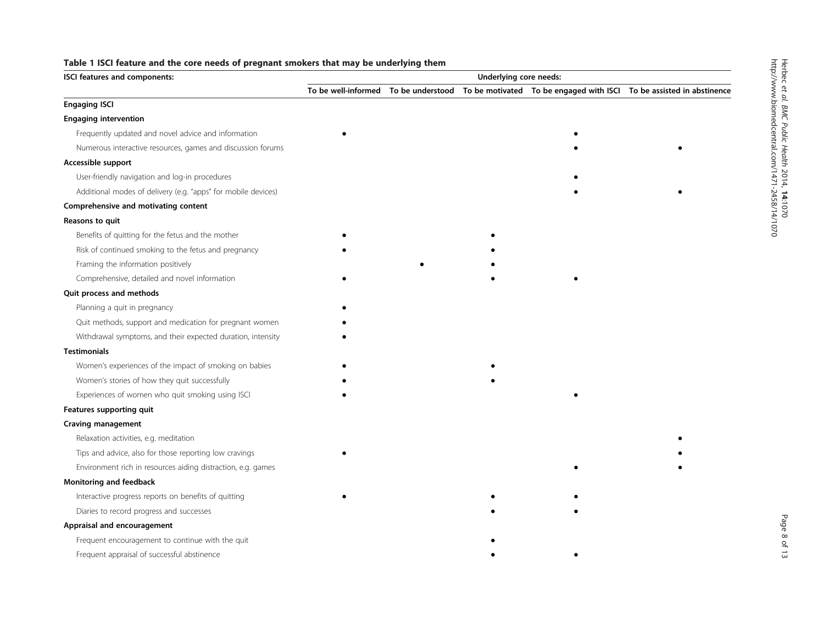# To be well-informed To be understood To be motivated To be engaged with ISCI To be assisted in abstinence Engaging ISCI Engaging intervention Frequently updated and novel advice and information Numerous interactive resources, games and discussion forums Accessible support User-friendly navigation and log-in procedures Additional modes of delivery (e.g. "apps" for mobile devices) Comprehensive and motivating content Reasons to quit Benefits of quitting for the fetus and the mother

ISCI features and components: Underlying core needs:

#### <span id="page-7-0"></span>Table <sup>1</sup> ISCI feature and the core needs of pregnant smokers that may be underlying them

|              | Women's experiences of the impact of smoking on babies      |  |  |  |  |
|--------------|-------------------------------------------------------------|--|--|--|--|
| Testimonials |                                                             |  |  |  |  |
|              | Withdrawal symptoms, and their expected duration, intensity |  |  |  |  |
|              | Quit methods, support and medication for pregnant women     |  |  |  |  |
|              | Planning a quit in pregnancy                                |  |  |  |  |

Women's stories of how they quit successfully Experiences of women who quit smoking using ISCI

Risk of continued smoking to the fetus and pregnancy

Comprehensive, detailed and novel information

Framing the information positively

#### Features supporting quit

Quit process and methods

#### Craving management

Relaxation activities, e.g. meditation

Tips and advice, also for those reporting low cravings

Environment rich in resources aiding distraction, e.g. games

## Monitoring and feedback

Interactive progress reports on benefits of quitting

Diaries to record progress and successes

#### Appraisal and encouragement

Frequent encouragement to continue with the quit

Frequent appraisal of successful abstinence

- 
- 
- 
-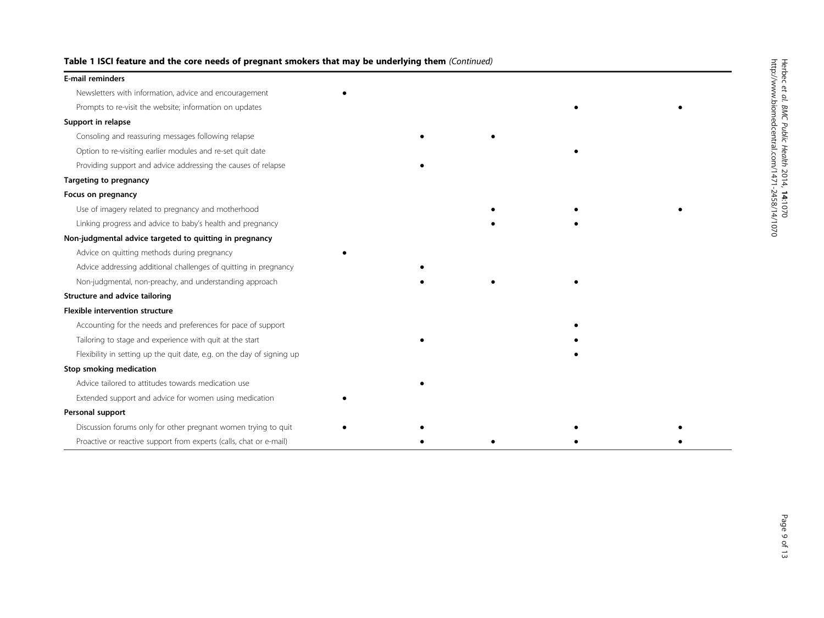## Table 1 ISCI feature and the core needs of pregnant smokers that may be underlying them (Continued)

#### E-mail reminders

Newsletters with information, advice and encouragement

Prompts to re-visit the website; information on updates

#### Support in relapse

Consoling and reassuring messages following relapse

Option to re-visiting earlier modules and re-set quit date

Providing support and advice addressing the causes of relapse

#### Targeting to pregnancy

#### Focus on pregnancy

Use of imagery related to pregnancy and motherhood

Linking progress and advice to baby's health and pregnancy

#### Non-judgmental advice targeted to quitting in pregnancy

Advice on quitting methods during pregnancy

Advice addressing additional challenges of quitting in pregnancy

Non-judgmental, non-preachy, and understanding approach

#### Structure and advice tailoring

#### Flexible intervention structure

Accounting for the needs and preferences for pace of support

Tailoring to stage and experience with quit at the start Flexibility in setting up the quit date, e.g. on the day of signing up

#### Stop smoking medication

Advice tailored to attitudes towards medication usee de la construction de la construction de la construction de la construction de la construction de la construction de la construction de la construction de la construction de la construction de la construction de la cons Extended support and advice for women using medication

#### Personal support

| Discussion forums only for other pregnant women trying to quit     |  |  |  |
|--------------------------------------------------------------------|--|--|--|
| Proactive or reactive support from experts (calls, chat or e-mail) |  |  |  |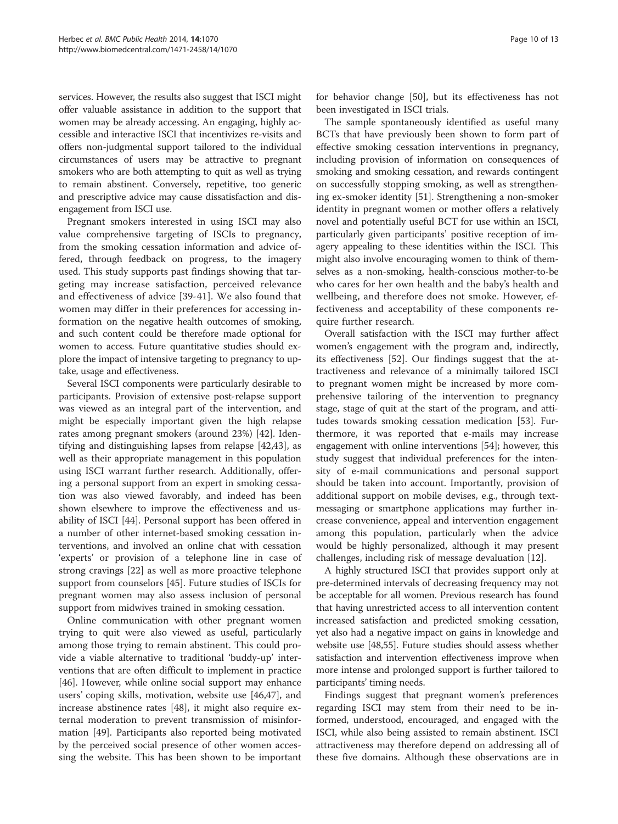services. However, the results also suggest that ISCI might offer valuable assistance in addition to the support that women may be already accessing. An engaging, highly accessible and interactive ISCI that incentivizes re-visits and offers non-judgmental support tailored to the individual circumstances of users may be attractive to pregnant smokers who are both attempting to quit as well as trying to remain abstinent. Conversely, repetitive, too generic and prescriptive advice may cause dissatisfaction and disengagement from ISCI use.

Pregnant smokers interested in using ISCI may also value comprehensive targeting of ISCIs to pregnancy, from the smoking cessation information and advice offered, through feedback on progress, to the imagery used. This study supports past findings showing that targeting may increase satisfaction, perceived relevance and effectiveness of advice [[39](#page-12-0)-[41\]](#page-12-0). We also found that women may differ in their preferences for accessing information on the negative health outcomes of smoking, and such content could be therefore made optional for women to access. Future quantitative studies should explore the impact of intensive targeting to pregnancy to uptake, usage and effectiveness.

Several ISCI components were particularly desirable to participants. Provision of extensive post-relapse support was viewed as an integral part of the intervention, and might be especially important given the high relapse rates among pregnant smokers (around 23%) [\[42\]](#page-12-0). Identifying and distinguishing lapses from relapse [[42](#page-12-0),[43](#page-12-0)], as well as their appropriate management in this population using ISCI warrant further research. Additionally, offering a personal support from an expert in smoking cessation was also viewed favorably, and indeed has been shown elsewhere to improve the effectiveness and usability of ISCI [\[44](#page-12-0)]. Personal support has been offered in a number of other internet-based smoking cessation interventions, and involved an online chat with cessation 'experts' or provision of a telephone line in case of strong cravings [[22\]](#page-11-0) as well as more proactive telephone support from counselors [[45](#page-12-0)]. Future studies of ISCIs for pregnant women may also assess inclusion of personal support from midwives trained in smoking cessation.

Online communication with other pregnant women trying to quit were also viewed as useful, particularly among those trying to remain abstinent. This could provide a viable alternative to traditional 'buddy-up' interventions that are often difficult to implement in practice [[46\]](#page-12-0). However, while online social support may enhance users' coping skills, motivation, website use [[46](#page-12-0),[47](#page-12-0)], and increase abstinence rates [[48](#page-12-0)], it might also require external moderation to prevent transmission of misinformation [[49\]](#page-12-0). Participants also reported being motivated by the perceived social presence of other women accessing the website. This has been shown to be important

for behavior change [[50\]](#page-12-0), but its effectiveness has not been investigated in ISCI trials.

The sample spontaneously identified as useful many BCTs that have previously been shown to form part of effective smoking cessation interventions in pregnancy, including provision of information on consequences of smoking and smoking cessation, and rewards contingent on successfully stopping smoking, as well as strengthening ex-smoker identity [\[51\]](#page-12-0). Strengthening a non-smoker identity in pregnant women or mother offers a relatively novel and potentially useful BCT for use within an ISCI, particularly given participants' positive reception of imagery appealing to these identities within the ISCI. This might also involve encouraging women to think of themselves as a non-smoking, health-conscious mother-to-be who cares for her own health and the baby's health and wellbeing, and therefore does not smoke. However, effectiveness and acceptability of these components require further research.

Overall satisfaction with the ISCI may further affect women's engagement with the program and, indirectly, its effectiveness [[52](#page-12-0)]. Our findings suggest that the attractiveness and relevance of a minimally tailored ISCI to pregnant women might be increased by more comprehensive tailoring of the intervention to pregnancy stage, stage of quit at the start of the program, and attitudes towards smoking cessation medication [[53](#page-12-0)]. Furthermore, it was reported that e-mails may increase engagement with online interventions [[54\]](#page-12-0); however, this study suggest that individual preferences for the intensity of e-mail communications and personal support should be taken into account. Importantly, provision of additional support on mobile devises, e.g., through textmessaging or smartphone applications may further increase convenience, appeal and intervention engagement among this population, particularly when the advice would be highly personalized, although it may present challenges, including risk of message devaluation [[12](#page-11-0)].

A highly structured ISCI that provides support only at pre-determined intervals of decreasing frequency may not be acceptable for all women. Previous research has found that having unrestricted access to all intervention content increased satisfaction and predicted smoking cessation, yet also had a negative impact on gains in knowledge and website use [[48,55\]](#page-12-0). Future studies should assess whether satisfaction and intervention effectiveness improve when more intense and prolonged support is further tailored to participants' timing needs.

Findings suggest that pregnant women's preferences regarding ISCI may stem from their need to be informed, understood, encouraged, and engaged with the ISCI, while also being assisted to remain abstinent. ISCI attractiveness may therefore depend on addressing all of these five domains. Although these observations are in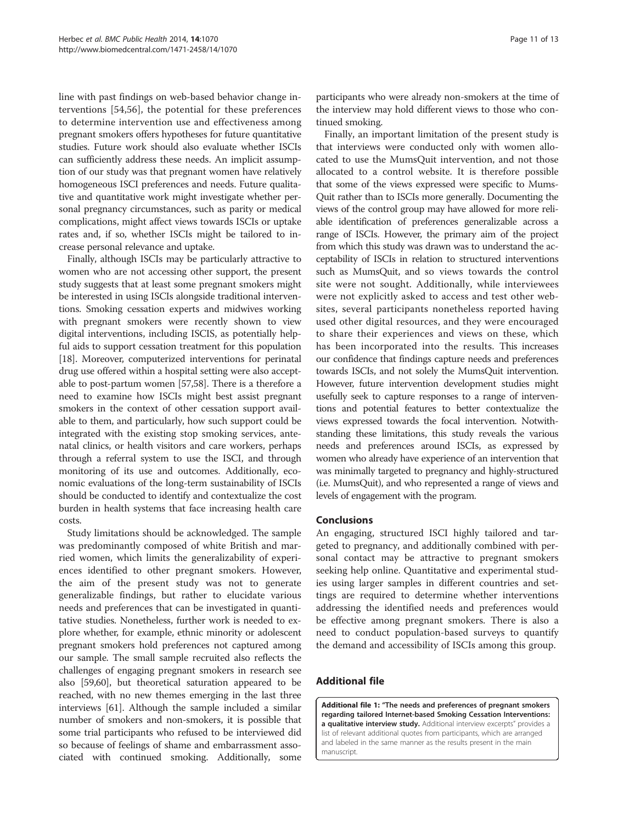<span id="page-10-0"></span>line with past findings on web-based behavior change interventions [[54,56](#page-12-0)], the potential for these preferences to determine intervention use and effectiveness among pregnant smokers offers hypotheses for future quantitative studies. Future work should also evaluate whether ISCIs can sufficiently address these needs. An implicit assumption of our study was that pregnant women have relatively homogeneous ISCI preferences and needs. Future qualitative and quantitative work might investigate whether personal pregnancy circumstances, such as parity or medical complications, might affect views towards ISCIs or uptake rates and, if so, whether ISCIs might be tailored to increase personal relevance and uptake.

Finally, although ISCIs may be particularly attractive to women who are not accessing other support, the present study suggests that at least some pregnant smokers might be interested in using ISCIs alongside traditional interventions. Smoking cessation experts and midwives working with pregnant smokers were recently shown to view digital interventions, including ISCIS, as potentially helpful aids to support cessation treatment for this population [[18](#page-11-0)]. Moreover, computerized interventions for perinatal drug use offered within a hospital setting were also acceptable to post-partum women [[57,58](#page-12-0)]. There is a therefore a need to examine how ISCIs might best assist pregnant smokers in the context of other cessation support available to them, and particularly, how such support could be integrated with the existing stop smoking services, antenatal clinics, or health visitors and care workers, perhaps through a referral system to use the ISCI, and through monitoring of its use and outcomes. Additionally, economic evaluations of the long-term sustainability of ISCIs should be conducted to identify and contextualize the cost burden in health systems that face increasing health care costs.

Study limitations should be acknowledged. The sample was predominantly composed of white British and married women, which limits the generalizability of experiences identified to other pregnant smokers. However, the aim of the present study was not to generate generalizable findings, but rather to elucidate various needs and preferences that can be investigated in quantitative studies. Nonetheless, further work is needed to explore whether, for example, ethnic minority or adolescent pregnant smokers hold preferences not captured among our sample. The small sample recruited also reflects the challenges of engaging pregnant smokers in research see also [[59,60](#page-12-0)], but theoretical saturation appeared to be reached, with no new themes emerging in the last three interviews [[61\]](#page-12-0). Although the sample included a similar number of smokers and non-smokers, it is possible that some trial participants who refused to be interviewed did so because of feelings of shame and embarrassment associated with continued smoking. Additionally, some participants who were already non-smokers at the time of the interview may hold different views to those who continued smoking.

Finally, an important limitation of the present study is that interviews were conducted only with women allocated to use the MumsQuit intervention, and not those allocated to a control website. It is therefore possible that some of the views expressed were specific to Mums-Quit rather than to ISCIs more generally. Documenting the views of the control group may have allowed for more reliable identification of preferences generalizable across a range of ISCIs. However, the primary aim of the project from which this study was drawn was to understand the acceptability of ISCIs in relation to structured interventions such as MumsQuit, and so views towards the control site were not sought. Additionally, while interviewees were not explicitly asked to access and test other websites, several participants nonetheless reported having used other digital resources, and they were encouraged to share their experiences and views on these, which has been incorporated into the results. This increases our confidence that findings capture needs and preferences towards ISCIs, and not solely the MumsQuit intervention. However, future intervention development studies might usefully seek to capture responses to a range of interventions and potential features to better contextualize the views expressed towards the focal intervention. Notwithstanding these limitations, this study reveals the various needs and preferences around ISCIs, as expressed by women who already have experience of an intervention that was minimally targeted to pregnancy and highly-structured (i.e. MumsQuit), and who represented a range of views and levels of engagement with the program.

#### Conclusions

An engaging, structured ISCI highly tailored and targeted to pregnancy, and additionally combined with personal contact may be attractive to pregnant smokers seeking help online. Quantitative and experimental studies using larger samples in different countries and settings are required to determine whether interventions addressing the identified needs and preferences would be effective among pregnant smokers. There is also a need to conduct population-based surveys to quantify the demand and accessibility of ISCIs among this group.

#### Additional file

[Additional file 1:](http://www.biomedcentral.com/content/supplementary/1471-2458-14-1070-S1.doc) "The needs and preferences of pregnant smokers regarding tailored Internet-based Smoking Cessation Interventions: a qualitative interview study. Additional interview excerpts" provides a list of relevant additional quotes from participants, which are arranged and labeled in the same manner as the results present in the main manuscript.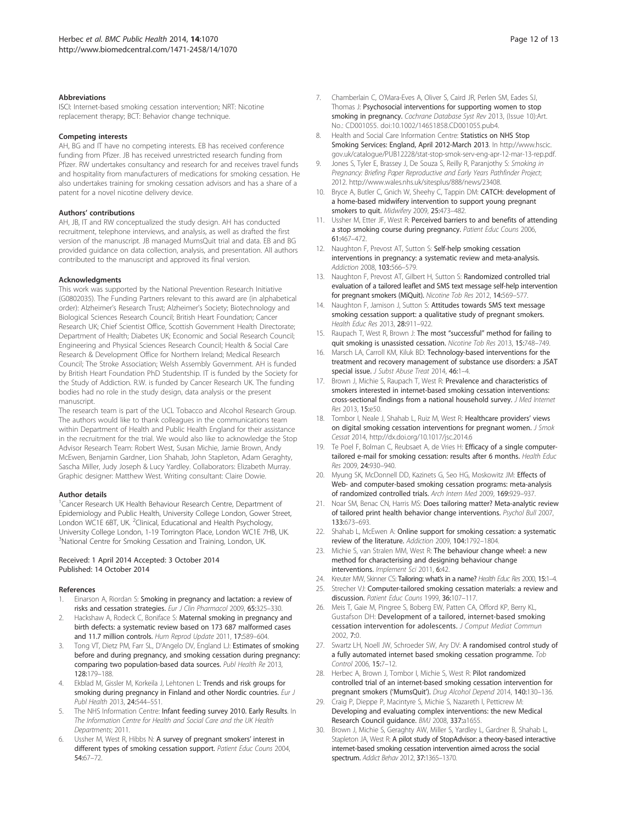#### <span id="page-11-0"></span>**Abbreviations**

ISCI: Internet-based smoking cessation intervention; NRT: Nicotine replacement therapy; BCT: Behavior change technique.

#### Competing interests

AH, BG and IT have no competing interests. EB has received conference funding from Pfizer. JB has received unrestricted research funding from Pfizer. RW undertakes consultancy and research for and receives travel funds and hospitality from manufacturers of medications for smoking cessation. He also undertakes training for smoking cessation advisors and has a share of a patent for a novel nicotine delivery device.

#### Authors' contributions

AH, JB, IT and RW conceptualized the study design. AH has conducted recruitment, telephone interviews, and analysis, as well as drafted the first version of the manuscript. JB managed MumsQuit trial and data. EB and BG provided guidance on data collection, analysis, and presentation. All authors contributed to the manuscript and approved its final version.

#### Acknowledgments

This work was supported by the National Prevention Research Initiative (G0802035). The Funding Partners relevant to this award are (in alphabetical order): Alzheimer's Research Trust; Alzheimer's Society; Biotechnology and Biological Sciences Research Council; British Heart Foundation; Cancer Research UK; Chief Scientist Office, Scottish Government Health Directorate; Department of Health; Diabetes UK; Economic and Social Research Council; Engineering and Physical Sciences Research Council; Health & Social Care Research & Development Office for Northern Ireland; Medical Research Council; The Stroke Association; Welsh Assembly Government. AH is funded by British Heart Foundation PhD Studentship. IT is funded by the Society for the Study of Addiction. R.W. is funded by Cancer Research UK. The funding bodies had no role in the study design, data analysis or the present manuscript.

The research team is part of the UCL Tobacco and Alcohol Research Group. The authors would like to thank colleagues in the communications team within Department of Health and Public Health England for their assistance in the recruitment for the trial. We would also like to acknowledge the Stop Advisor Research Team: Robert West, Susan Michie, Jamie Brown, Andy McEwen, Benjamin Gardner, Lion Shahab, John Stapleton, Adam Geraghty, Sascha Miller, Judy Joseph & Lucy Yardley. Collaborators: Elizabeth Murray. Graphic designer: Matthew West. Writing consultant: Claire Dowie.

#### Author details

<sup>1</sup> Cancer Research UK Health Behaviour Research Centre, Department of Epidemiology and Public Health, University College London, Gower Street, London WC1E 6BT, UK. <sup>2</sup>Clinical, Educational and Health Psychology, University College London, 1-19 Torrington Place, London WC1E 7HB, UK. <sup>3</sup>National Centre for Smoking Cessation and Training, London, UK.

#### Received: 1 April 2014 Accepted: 3 October 2014 Published: 14 October 2014

#### References

- 1. Einarson A, Riordan S: Smoking in pregnancy and lactation: a review of risks and cessation strategies. Eur J Clin Pharmacol 2009, 65:325-330.
- Hackshaw A, Rodeck C, Boniface S: Maternal smoking in pregnancy and birth defects: a systematic review based on 173 687 malformed cases and 11.7 million controls. Hum Reprod Update 2011, 17:589–604.
- Tong VT, Dietz PM, Farr SL, D'Angelo DV, England LJ: Estimates of smoking before and during pregnancy, and smoking cessation during pregnancy: comparing two population-based data sources. Publ Health Re 2013, 128:179–188.
- 4. Ekblad M, Gissler M, Korkeila J, Lehtonen L: Trends and risk groups for smoking during pregnancy in Finland and other Nordic countries. Eur J Publ Health 2013, 24:544–551.
- The NHS Information Centre: Infant feeding survey 2010. Early Results. In The Information Centre for Health and Social Care and the UK Health Departments; 2011.
- 6. Ussher M, West R, Hibbs N: A survey of pregnant smokers' interest in different types of smoking cessation support. Patient Educ Couns 2004, 54:67–72.
- 7. Chamberlain C, O'Mara-Eves A, Oliver S, Caird JR, Perlen SM, Eades SJ, Thomas J: Psychosocial interventions for supporting women to stop smoking in pregnancy. Cochrane Database Syst Rev 2013, (Issue 10):Art. No.: CD001055. doi:10.1002/14651858.CD001055.pub4.
- 8. Health and Social Care Information Centre: Statistics on NHS Stop Smoking Services: England, April 2012-March 2013. In [http://www.hscic.](http://www.hscic.gov.uk/catalogue/PUB12228/stat-stop-smok-serv-eng-apr-12-mar-13-rep.pdf) [gov.uk/catalogue/PUB12228/stat-stop-smok-serv-eng-apr-12-mar-13-rep.pdf.](http://www.hscic.gov.uk/catalogue/PUB12228/stat-stop-smok-serv-eng-apr-12-mar-13-rep.pdf)
- Jones S, Tyler E, Brassey J, De Souza S, Reilly R, Paranjothy S: Smoking in Pregnancy: Briefing Paper Reproductive and Early Years Pathfinder Project; 2012.<http://www.wales.nhs.uk/sitesplus/888/news/23408>.
- 10. Bryce A, Butler C, Gnich W, Sheehy C, Tappin DM: CATCH: development of a home-based midwifery intervention to support young pregnant smokers to quit. Midwifery 2009, 25:473–482.
- 11. Ussher M, Etter JF, West R: Perceived barriers to and benefits of attending a stop smoking course during pregnancy. Patient Educ Couns 2006, 61:467–472.
- 12. Naughton F, Prevost AT, Sutton S: Self-help smoking cessation interventions in pregnancy: a systematic review and meta-analysis. Addiction 2008, 103:566–579.
- 13. Naughton F, Prevost AT, Gilbert H, Sutton S: Randomized controlled trial evaluation of a tailored leaflet and SMS text message self-help intervention for pregnant smokers (MiQuit). Nicotine Tob Res 2012, 14:569–577.
- 14. Naughton F, Jamison J, Sutton S: Attitudes towards SMS text message smoking cessation support: a qualitative study of pregnant smokers. Health Educ Res 2013, 28:911–922.
- 15. Raupach T, West R, Brown J: The most "successful" method for failing to quit smoking is unassisted cessation. Nicotine Tob Res 2013, 15:748–749.
- 16. Marsch LA, Carroll KM, Kiluk BD: Technology-based interventions for the treatment and recovery management of substance use disorders: a JSAT special issue. J Subst Abuse Treat 2014, 46:1-4.
- 17. Brown J, Michie S, Raupach T, West R: Prevalence and characteristics of smokers interested in internet-based smoking cessation interventions: cross-sectional findings from a national household survey. J Med Internet Res 2013, 15:e50.
- 18. Tombor I, Neale J, Shahab L, Ruiz M, West R: Healthcare providers' views on digital smoking cessation interventions for pregnant women. J Smok Cessat 2014,<http://dx.doi.org/10.1017/jsc.2014.6>
- 19. Te Poel F, Bolman C, Reubsaet A, de Vries H: Efficacy of a single computertailored e-mail for smoking cessation: results after 6 months. Health Educ Res 2009, 24:930–940.
- 20. Myung SK, McDonnell DD, Kazinets G, Seo HG, Moskowitz JM: Effects of Web- and computer-based smoking cessation programs: meta-analysis of randomized controlled trials. Arch Intern Med 2009, 169:929-937
- 21. Noar SM, Benac CN, Harris MS: Does tailoring matter? Meta-analytic review of tailored print health behavior change interventions. Psychol Bull 2007, 133:673–693.
- 22. Shahab L, McEwen A: Online support for smoking cessation: a systematic review of the literature. Addiction 2009, 104:1792–1804.
- 23. Michie S, van Stralen MM, West R: The behaviour change wheel: a new method for characterising and designing behaviour change interventions. Implement Sci 2011, 6:42.
- 24. Kreuter MW, Skinner CS: Tailoring: what's in a name? Health Educ Res 2000, 15:1-4.
- 25. Strecher VJ: Computer-tailored smoking cessation materials: a review and discussion. Patient Educ Couns 1999, 36:107–117.
- 26. Meis T, Gaie M, Pingree S, Boberg EW, Patten CA, Offord KP, Berry KL, Gustafson DH: Development of a tailored, internet-based smoking cessation intervention for adolescents. J Comput Mediat Commun 2002, 7:0.
- 27. Swartz LH, Noell JW, Schroeder SW, Ary DV: A randomised control study of a fully automated internet based smoking cessation programme.  $\textit{Tob}$ Control 2006, 15:7–12.
- 28. Herbec A, Brown J, Tombor I, Michie S, West R: Pilot randomized controlled trial of an internet-based smoking cessation intervention for pregnant smokers ('MumsQuit'). Drug Alcohol Depend 2014, 140:130–136.
- 29. Craig P, Dieppe P, Macintyre S, Michie S, Nazareth I, Petticrew M: Developing and evaluating complex interventions: the new Medical Research Council guidance. BMJ 2008, 337:a1655.
- 30. Brown J, Michie S, Geraghty AW, Miller S, Yardley L, Gardner B, Shahab L, Stapleton JA, West R: A pilot study of StopAdvisor: a theory-based interactive internet-based smoking cessation intervention aimed across the social spectrum. Addict Behav 2012, 37:1365–1370.